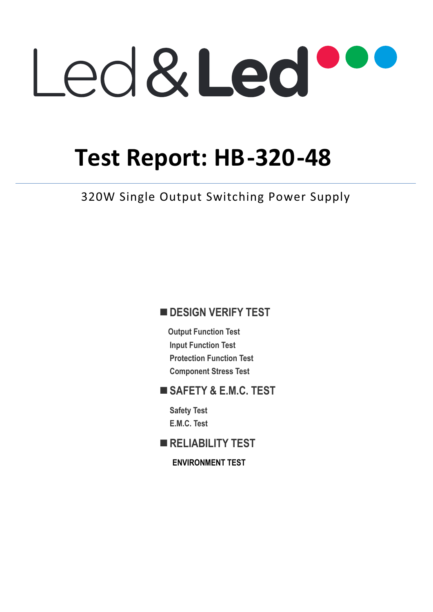# Led&Led

# **Test Report: HB-320-48**

320W Single Output Switching Power Supply

# $\blacksquare$  **DESIGN VERIFY TEST**

**Output Function Test Input Function Test Protection Function Test Component Stress Test** 

### **SAFETY & E.M.C. TEST**

**Safety Test E.M.C. Test** 

**RELIABILITY TEST** 

**ENVIRONMENT TEST**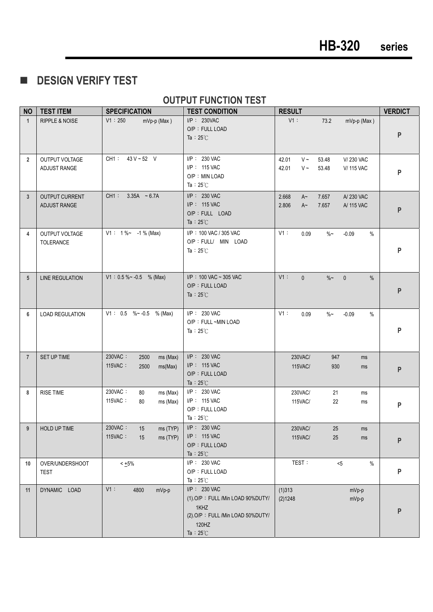**E** DESIGN VERIFY TEST

#### **OUTPUT FUNCTION TEST**

| <b>NO</b>      | <b>TEST ITEM</b>                      | <b>SPECIFICATION</b>                                      | <b>TEST CONDITION</b>                                                                                                          | <b>RESULT</b>                                                                              | <b>VERDICT</b> |
|----------------|---------------------------------------|-----------------------------------------------------------|--------------------------------------------------------------------------------------------------------------------------------|--------------------------------------------------------------------------------------------|----------------|
| $\mathbf{1}$   | <b>RIPPLE &amp; NOISE</b>             | V1:250<br>mVp-p (Max)                                     | I/P: 230VAC<br>O/P: FULL LOAD<br>Ta : $25^{\circ}$ C                                                                           | $V1$ :<br>73.2<br>mVp-p (Max)                                                              | P              |
| $\overline{2}$ | OUTPUT VOLTAGE<br>ADJUST RANGE        | CH1: 43 V ~ 52 V                                          | I/P: 230 VAC<br>I/P: 115 VAC<br>O/P: MIN LOAD<br>Ta : $25^{\circ}$ C                                                           | 42.01<br>$V \sim$<br>53.48<br>V/230 VAC<br>42.01<br>$V \sim$<br><b>V/ 115 VAC</b><br>53.48 | P              |
| $\mathbf{3}$   | <b>OUTPUT CURRENT</b><br>ADJUST RANGE | CH1:<br>$3.35A - 6.7A$                                    | I/P: 230 VAC<br>I/P: 115 VAC<br>O/P : FULL LOAD<br>Ta : $25^{\circ}$ C                                                         | 2.668<br>$A^{\sim}$<br>7.657<br>A/230 VAC<br>2.806<br>$A\sim$<br>7.657<br>A/ 115 VAC       | P              |
| 4              | OUTPUT VOLTAGE<br>TOLERANCE           | $V1: 1\%~ - 1\%$ (Max)                                    | I/P: 100 VAC / 305 VAC<br>O/P : FULL/ MIN LOAD<br>Ta : $25^{\circ}$ C                                                          | V1:<br>0.09<br>$\%$ ~<br>$-0.09$<br>$\%$                                                   | P              |
| 5              | <b>LINE REGULATION</b>                | $V1: 0.5 \% \sim -0.5$ % (Max)                            | I/P: 100 VAC ~ 305 VAC<br>O/P: FULL LOAD<br>Ta : $25^{\circ}$ C                                                                | $V1$ :<br>$\overline{0}$<br>$\%$ ~<br>$\mathbf{0}$<br>$\%$                                 | P              |
| 6              | <b>LOAD REGULATION</b>                | V1: $0.5 \% \sim -0.5 \%$ (Max)                           | I/P: 230 VAC<br>O/P: FULL ~MIN LOAD<br>Ta: $25^{\circ}$ C                                                                      | V1:<br>0.09<br>$\%$ ~<br>$-0.09$<br>%                                                      | P              |
| $\overline{7}$ | SET UP TIME                           | 230VAC:<br>2500<br>ms (Max)<br>115VAC:<br>2500<br>ms(Max) | I/P: 230 VAC<br>$I/P$ : 115 VAC<br>O/P: FULL LOAD<br>Ta : $25^{\circ}$ C                                                       | 230VAC/<br>947<br>ms<br><b>115VAC/</b><br>930<br>ms                                        | P              |
| 8              | <b>RISE TIME</b>                      | 230VAC:<br>80<br>ms (Max)<br>115VAC:<br>80<br>ms (Max)    | I/P: 230 VAC<br>I/P: 115 VAC<br>O/P: FULL LOAD<br>Ta: $25^{\circ}$ C                                                           | 230VAC/<br>21<br>ms<br>115VAC/<br>22<br>ms                                                 | P              |
| 9              | HOLD UP TIME                          | 230VAC:<br>15<br>ms (TYP)<br>115VAC:<br>ms (TYP)<br>15    | I/P: 230 VAC<br>$I/P$ : 115 VAC<br>O/P: FULL LOAD<br>Ta : $25^{\circ}$ C                                                       | 230VAC/<br>25<br>ms<br>115VAC/<br>25<br>ms                                                 | P              |
| 10             | OVER/UNDERSHOOT<br><b>TEST</b>        | $< +5\%$                                                  | I/P: 230 VAC<br>O/P: FULL LOAD<br>Ta : $25^{\circ}$ C                                                                          | TEST:<br>< 5<br>$\%$                                                                       | P              |
| 11             | DYNAMIC LOAD                          | $V1$ :<br>4800<br>mVp-p                                   | $I/P$ : 230 VAC<br>(1).O/P: FULL /Min LOAD 90%DUTY/<br>1KHZ<br>(2).O/P: FULL /Min LOAD 50%DUTY/<br>120HZ<br>Ta: $25^{\circ}$ C | (1)313<br>mVp-p<br>(2)1248<br>mVp-p                                                        | P              |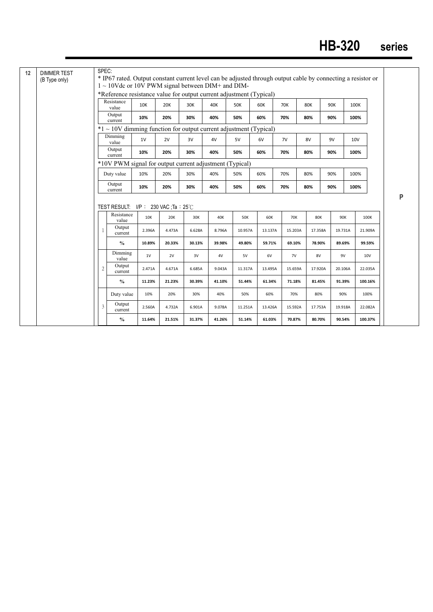| (B Type only) |                | $1 \sim 10$ Vdc or 10V PWM signal between DIM+ and DIM-<br>*Reference resistance value for output current adjustment (Typical) |            |        |        |        |            |         |         |            |         |         |        |   |
|---------------|----------------|--------------------------------------------------------------------------------------------------------------------------------|------------|--------|--------|--------|------------|---------|---------|------------|---------|---------|--------|---|
|               |                | Resistance<br>value                                                                                                            | <b>10K</b> | 20K    | 30K    | 40K    | <b>50K</b> | 60K     | 70K     | <b>80K</b> | 90K     | 100K    |        |   |
|               |                | Output<br>current                                                                                                              | 10%        | 20%    | 30%    | 40%    | 50%        | 60%     | 70%     | 80%        | 90%     | 100%    |        |   |
|               |                | $*1 \sim 10V$ dimming function for output current adjustment (Typical)                                                         |            |        |        |        |            |         |         |            |         |         |        |   |
|               |                | Dimming<br>value                                                                                                               | 1V         | 2V     | 3V     | 4V     | 5V         | 6V      | 7V      | 8V         | 9V      | 10V     |        |   |
|               |                | Output<br>current                                                                                                              | 10%        | 20%    | 30%    | 40%    | 50%        | 60%     | 70%     | 80%        | 90%     | 100%    |        |   |
|               |                | *10V PWM signal for output current adjustment (Typical)                                                                        |            |        |        |        |            |         |         |            |         |         |        |   |
|               |                | Duty value                                                                                                                     | 10%        | 20%    | 30%    | 40%    | 50%        | 60%     | 70%     | 80%        | 90%     | 100%    |        |   |
|               |                | Output                                                                                                                         |            |        |        |        |            |         |         |            |         |         |        |   |
|               |                | current                                                                                                                        | 10%        | 20%    | 30%    | 40%    | 50%        | 60%     | 70%     | 80%        | 90%     | 100%    |        |   |
|               |                |                                                                                                                                |            |        |        |        |            |         |         |            |         |         |        | P |
|               |                | TEST RESULT: $I/P$ : 230 VAC ; Ta : 25 °C                                                                                      |            |        |        |        |            |         |         |            |         |         |        |   |
|               |                | Resistance<br>value                                                                                                            | 10K        | 20K    | 30K    | 40K    | 50K        | 60K     | 70K     | <b>80K</b> | 90K     | 100K    |        |   |
|               | $\mathbf{1}$   | Output<br>current                                                                                                              | 2.396A     | 4.473A | 6.628A | 8.796A | 10.957A    | 13.137A | 15.203A | 17.358A    | 19.731A | 21.909A |        |   |
|               |                | $\%$                                                                                                                           | 10.89%     | 20.33% | 30.13% | 39.98% | 49.80%     | 59.71%  | 69.10%  | 78.90%     | 89.69%  |         | 99.59% |   |
|               |                | Dimming<br>value                                                                                                               | 1V         | 2V     | 3V     | 4V     | 5V         | 6V      | 7V      | 8V         | 9V      | 10V     |        |   |
|               | $\overline{c}$ | Output<br>current                                                                                                              | 2.471A     | 4.671A | 6.685A | 9.043A | 11.317A    | 13.495A | 15.659A | 17.920A    | 20.106A | 22.035A |        |   |
|               |                | $\frac{0}{0}$                                                                                                                  | 11.23%     | 21.23% | 30.39% | 41.10% | 51.44%     | 61.34%  | 71.18%  | 81.45%     | 91.39%  | 100.16% |        |   |
|               |                | Duty value                                                                                                                     | 10%        | 20%    | 30%    | 40%    | 50%        | 60%     | 70%     | 80%        | 90%     | 100%    |        |   |
|               | 3              | Output<br>current                                                                                                              | 2.560A     | 4.732A | 6.901A | 9.078A | 11.251A    | 13.426A | 15.592A | 17.753A    | 19.918A | 22.082A |        |   |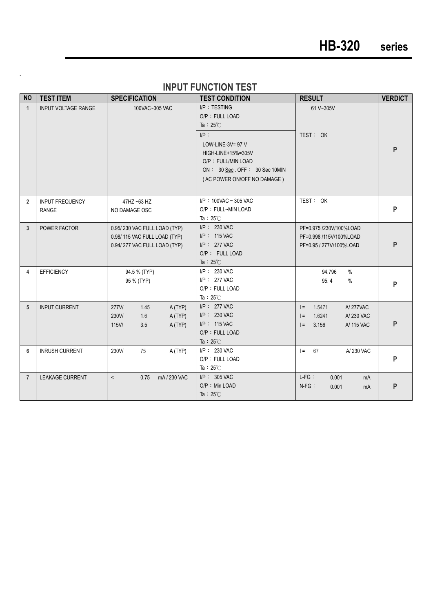# **HB-320 series**

|  |  | <b>INPUT FUNCTION TEST</b> |
|--|--|----------------------------|
|  |  |                            |

**.** 

| <b>NO</b>      | <b>TEST ITEM</b>                       | <b>SPECIFICATION</b>                                                                         | <b>TEST CONDITION</b>                                                                                                                                                                             | <b>RESULT</b>                                                                                | <b>VERDICT</b> |
|----------------|----------------------------------------|----------------------------------------------------------------------------------------------|---------------------------------------------------------------------------------------------------------------------------------------------------------------------------------------------------|----------------------------------------------------------------------------------------------|----------------|
| $\mathbf{1}$   | <b>INPUT VOLTAGE RANGE</b>             | 100VAC~305 VAC                                                                               | I/P: TESTING<br>O/P: FULL LOAD<br>Ta : $25^{\circ}$ C<br>$I/P$ :<br>LOW-LINE-3V= 97 V<br>HIGH-LINE+15%=305V<br>O/P: FULL/MIN LOAD<br>ON: 30 Sec. OFF: 30 Sec 10MIN<br>(AC POWER ON/OFF NO DAMAGE) | 61 V~305V<br>TEST: OK                                                                        | P              |
| $\overline{2}$ | <b>INPUT FREQUENCY</b><br><b>RANGE</b> | 47HZ ~63 HZ<br>NO DAMAGE OSC                                                                 | $I/P$ : 100VAC ~ 305 VAC<br>O/P: FULL~MIN LOAD<br>Ta : $25^{\circ}$ C                                                                                                                             | TEST: OK                                                                                     | P              |
| 3              | POWER FACTOR                           | 0.95/230 VAC FULL LOAD (TYP)<br>0.98/115 VAC FULL LOAD (TYP)<br>0.94/277 VAC FULL LOAD (TYP) | $I/P$ : 230 VAC<br>I/P: 115 VAC<br>$I/P$ : 277 VAC<br>O/P: FULL LOAD<br>Ta : $25^{\circ}$ C                                                                                                       | PF=0.975 /230V/100%LOAD<br>PF=0.998 /115V/100%LOAD<br>PF=0.95 / 277V/100%LOAD                | P              |
| 4              | <b>EFFICIENCY</b>                      | 94.5 % (TYP)<br>95 % (TYP)                                                                   | $I/P$ : 230 VAC<br>I/P: 277 VAC<br>O/P: FULL LOAD<br>Ta: $25^{\circ}$ C                                                                                                                           | $\%$<br>94.796<br>95.4<br>$\frac{0}{0}$                                                      | P              |
| 5              | <b>INPUT CURRENT</b>                   | 277V/<br>1.45<br>A (TYP)<br>230V/<br>1.6<br>A (TYP)<br>$115$ V/<br>3.5<br>A (TYP)            | $I/P$ : 277 VAC<br>I/P: 230 VAC<br>$I/P$ : 115 VAC<br>O/P: FULL LOAD<br>Ta : $25^{\circ}$ C                                                                                                       | 1.5471<br><b>A/277VAC</b><br>$=$<br>$=$<br>1.6241<br>A/230 VAC<br>$=$<br>3.156<br>A/ 115 VAC | P              |
| 6              | <b>INRUSH CURRENT</b>                  | 230V/<br>75<br>A (TYP)                                                                       | I/P: 230 VAC<br>O/P: FULL LOAD<br>Ta: $25^{\circ}$ C                                                                                                                                              | $I =$<br>A/230 VAC<br>67                                                                     | P              |
| $\overline{7}$ | <b>LEAKAGE CURRENT</b>                 | $\prec$<br>0.75<br>mA/230 VAC                                                                | $I/P$ : 305 VAC<br>O/P: Min LOAD<br>Ta : $25^{\circ}$ C                                                                                                                                           | $L-FG$ :<br>0.001<br>mA<br>$N-FG$ :<br>0.001<br>mA                                           | P              |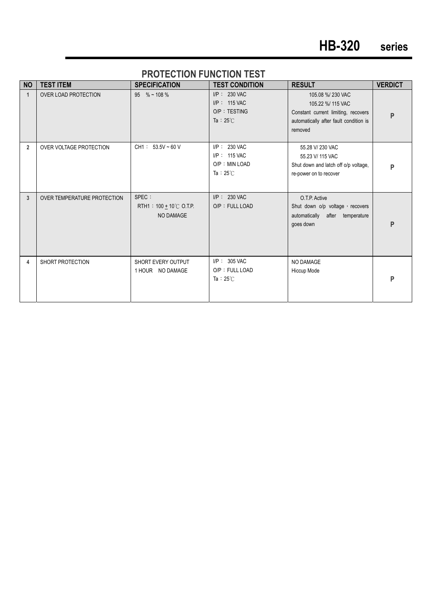#### **PROTECTION FUNCTION TEST**

| <b>NO</b>      | <b>TEST ITEM</b>            | <b>SPECIFICATION</b>                                      | <b>TEST CONDITION</b>                                                     | <b>RESULT</b>                                                                                                                     | <b>VERDICT</b> |
|----------------|-----------------------------|-----------------------------------------------------------|---------------------------------------------------------------------------|-----------------------------------------------------------------------------------------------------------------------------------|----------------|
| 1              | <b>OVER LOAD PROTECTION</b> | $95 \% \sim 108 \%$                                       | $I/P$ : 230 VAC<br>$I/P$ : 115 VAC<br>O/P: TESTING<br>Ta : $25^{\circ}$ C | 105.08 %/230 VAC<br>105.22 %/ 115 VAC<br>Constant current limiting, recovers<br>automatically after fault condition is<br>removed | P              |
| $\overline{2}$ | OVER VOLTAGE PROTECTION     | CH1 : $53.5V \sim 60 V$                                   | $I/P$ : 230 VAC<br>$I/P$ : 115 VAC<br>O/P: MIN LOAD<br>Ta: $25^{\circ}$ C | 55.28 V/ 230 VAC<br>55.23 V/ 115 VAC<br>Shut down and latch off o/p voltage,<br>re-power on to recover                            | P              |
| 3              | OVER TEMPERATURE PROTECTION | SPEC :<br>RTH1 : $100 + 10^{\circ}$ C O.T.P.<br>NO DAMAGE | $I/P$ : 230 VAC<br>O/P: FULL LOAD                                         | O.T.P. Active<br>Shut down o/p voltage, recovers<br>automatically after temperature<br>goes down                                  | P              |
| 4              | SHORT PROTECTION            | SHORT EVERY OUTPUT<br>1 HOUR NO DAMAGE                    | $I/P$ : 305 VAC<br>O/P: FULL LOAD<br>Ta: $25^{\circ}$ C                   | <b>NO DAMAGE</b><br>Hiccup Mode                                                                                                   | P              |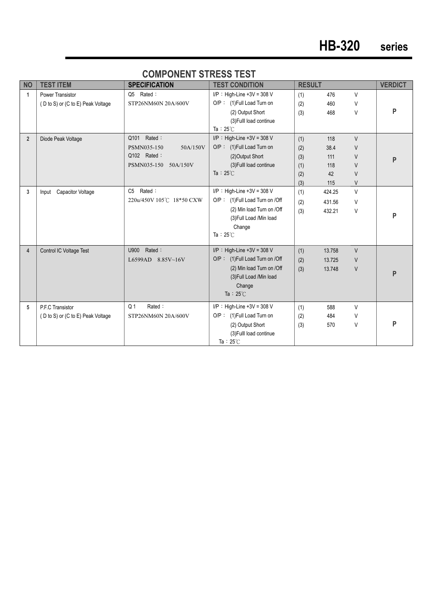| <b>NO</b>      | <b>TEST ITEM</b>                  | <b>SPECIFICATION</b>     | <b>TEST CONDITION</b>            | <b>RESULT</b> |        |        | <b>VERDICT</b> |
|----------------|-----------------------------------|--------------------------|----------------------------------|---------------|--------|--------|----------------|
| 1              | Power Transistor                  | Rated:<br>Q5             | $I/P$ : High-Line +3V = 308 V    | (1)           | 476    | V      |                |
|                | (D to S) or (C to E) Peak Voltage | STP26NM60N 20A/600V      | O/P: (1) Full Load Turn on       | (2)           | 460    | V      |                |
|                |                                   |                          | (2) Output Short                 | (3)           | 468    | V      | P              |
|                |                                   |                          | (3) Fulll load continue          |               |        |        |                |
|                |                                   |                          | Ta: $25^{\circ}$ C               |               |        |        |                |
| $\overline{2}$ | Diode Peak Voltage                | Rated:<br>Q101           | $I/P$ : High-Line +3V = 308 V    | (1)           | 118    | V      |                |
|                |                                   | PSMN035-150<br>50A/150V  | O/P: (1) Full Load Turn on       | (2)           | 38.4   | V      |                |
|                |                                   | Q102 Rated:              | (2) Output Short                 | (3)           | 111    | V      | P              |
|                |                                   | PSMN035-150 50A/150V     | (3) Fulll load continue          | (1)           | 118    | V      |                |
|                |                                   |                          | Ta: $25^{\circ}$ C               | (2)           | 42     | V      |                |
|                |                                   |                          |                                  | (3)           | 115    | V      |                |
| 3              | <b>Capacitor Voltage</b><br>Input | C5 Rated:                | $I/P$ : High-Line +3V = 308 V    | (1)           | 424.25 | $\vee$ |                |
|                |                                   | 220u/450V 105℃ 18*50 CXW | O/P: (1) Full Load Turn on / Off | (2)           | 431.56 | V      |                |
|                |                                   |                          | (2) Min load Turn on /Off        | (3)           | 432.21 | V      |                |
|                |                                   |                          | (3) Full Load /Min load          |               |        |        | P              |
|                |                                   |                          | Change                           |               |        |        |                |
|                |                                   |                          | Ta: $25^{\circ}$ C               |               |        |        |                |
|                |                                   |                          |                                  |               |        |        |                |
| 4              | Control IC Voltage Test           | Rated:<br>U900           | $I/P$ : High-Line +3V = 308 V    | (1)           | 13.758 | V      |                |
|                |                                   | L6599AD 8.85V~16V        | O/P: (1) Full Load Turn on / Off | (2)           | 13.725 | V      |                |
|                |                                   |                          | (2) Min load Turn on /Off        | (3)           | 13.748 | V      | P              |
|                |                                   |                          | (3) Full Load / Min load         |               |        |        |                |
|                |                                   |                          | Change                           |               |        |        |                |
|                |                                   |                          | Ta : $25^{\circ}$ C              |               |        |        |                |
| 5              | P.F.C Transistor                  | Rated:<br>Q <sub>1</sub> | $I/P$ : High-Line +3V = 308 V    | (1)           | 588    | V      |                |
|                | (D to S) or (C to E) Peak Voltage | STP26NM60N 20A/600V      | O/P: (1) Full Load Turn on       | (2)           | 484    | V      |                |
|                |                                   |                          | (2) Output Short                 | (3)           | 570    | V      | P              |
|                |                                   |                          | (3) Fulll load continue          |               |        |        |                |
|                |                                   |                          | Ta: $25^{\circ}$ C               |               |        |        |                |

#### **COMPONENT STRESS TEST**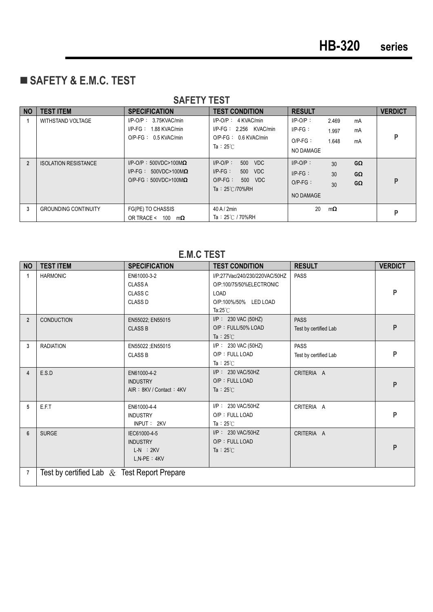# **SAFETY & E.M.C. TEST**

|                | <u>UALLIILUI</u>            |                                                                                                |                                                                                                                   |                                                                                                                     |                |  |  |  |  |
|----------------|-----------------------------|------------------------------------------------------------------------------------------------|-------------------------------------------------------------------------------------------------------------------|---------------------------------------------------------------------------------------------------------------------|----------------|--|--|--|--|
| <b>NO</b>      | <b>TEST ITEM</b>            | <b>SPECIFICATION</b>                                                                           | <b>TEST CONDITION</b>                                                                                             | <b>RESULT</b>                                                                                                       | <b>VERDICT</b> |  |  |  |  |
| 1              | WITHSTAND VOLTAGE           | $I/P-O/P$ : 3.75KVAC/min<br>$I/P-FG: 1.88$ KVAC/min<br>$O/P-FG: 0.5$ KVAC/min                  | $I/P$ -O/P : 4 KVAC/min<br>$I/P-FG: 2.256$ KVAC/min<br>O/P-FG: 0.6 KVAC/min<br>Ta: $25^\circ$ C                   | $I/P-O/P$ :<br>2.469<br>mA<br>$IP-FG$ :<br>mA<br>1.997<br>$O/P-FG$ :<br>1.648<br>mA<br>NO DAMAGE                    | P              |  |  |  |  |
| $\overline{2}$ | <b>ISOLATION RESISTANCE</b> | $I/P$ -O/P: 500VDC>100M $\Omega$<br>I/P-FG: $500VDC>100M\Omega$<br>O/P-FG: $500VDC>100M\Omega$ | $I/P-O/P$ :<br>500<br><b>VDC</b><br>$I/P-FG$ :<br>500<br>VDC<br>$O/P-FG$ :<br>500 VDC<br>Ta: $25^{\circ}$ C/70%RH | $I/P-O/P$ :<br>$G\Omega$<br>30<br>$I/P-FG$ :<br>30 <sup>°</sup><br>$G\Omega$<br>$O/P-FG$ :<br>GΩ<br>30<br>NO DAMAGE | P              |  |  |  |  |
| 3              | <b>GROUNDING CONTINUITY</b> | FG(PE) TO CHASSIS<br>OR TRACE < $100 \text{ m}\Omega$                                          | 40 A / 2min<br>Ta: 25℃ / 70%RH                                                                                    | 20<br>$m\Omega$                                                                                                     | P              |  |  |  |  |

#### **SAFETY TEST**

#### **E.M.C TEST**

| <b>NO</b>      | <b>TEST ITEM</b>                               | <b>SPECIFICATION</b>                                                  | <b>TEST CONDITION</b>                                                                                             | <b>RESULT</b>                        | <b>VERDICT</b> |
|----------------|------------------------------------------------|-----------------------------------------------------------------------|-------------------------------------------------------------------------------------------------------------------|--------------------------------------|----------------|
| $\mathbf{1}$   | <b>HARMONIC</b>                                | EN61000-3-2<br><b>CLASS A</b><br>CLASS <sub>C</sub><br><b>CLASS D</b> | I/P:277Vac/240/230/220VAC/50HZ<br>O/P:100/75/50%ELECTRONIC<br>LOAD<br>O/P:100%/50% LED LOAD<br>Ta: $25^{\circ}$ C | <b>PASS</b>                          | P              |
| $\overline{2}$ | <b>CONDUCTION</b>                              | EN55022; EN55015<br><b>CLASS B</b>                                    | $I/P$ : 230 VAC (50HZ)<br>O/P: FULL/50% LOAD<br>Ta : $25^{\circ}$ C                                               | <b>PASS</b><br>Test by certified Lab | P              |
| 3              | <b>RADIATION</b>                               | EN55022 ; EN55015<br><b>CLASS B</b>                                   | I/P: 230 VAC (50HZ)<br>O/P: FULL LOAD<br>Ta: $25^{\circ}$ C                                                       | <b>PASS</b><br>Test by certified Lab | P              |
| 4              | E.S.D                                          | EN61000-4-2<br><b>INDUSTRY</b><br>AIR: 8KV / Contact: 4KV             | I/P: 230 VAC/50HZ<br>O/P: FULL LOAD<br>Ta : $25^{\circ}$ C                                                        | CRITERIA A                           | P              |
| 5              | E.F.T                                          | EN61000-4-4<br><b>INDUSTRY</b><br>INPUT: 2KV                          | I/P: 230 VAC/50HZ<br>O/P: FULL LOAD<br>Ta: $25^\circ$ C                                                           | CRITERIA A                           | P              |
| $6\phantom{1}$ | <b>SURGE</b>                                   | IEC61000-4-5<br><b>INDUSTRY</b><br>$L-N$ : $2KV$<br>$L.N-PE : 4KV$    | I/P: 230 VAC/50HZ<br>O/P: FULL LOAD<br>Ta : $25^{\circ}$ C                                                        | CRITERIA A                           | P              |
| $\overline{7}$ | Test by certified Lab $\&$ Test Report Prepare |                                                                       |                                                                                                                   |                                      |                |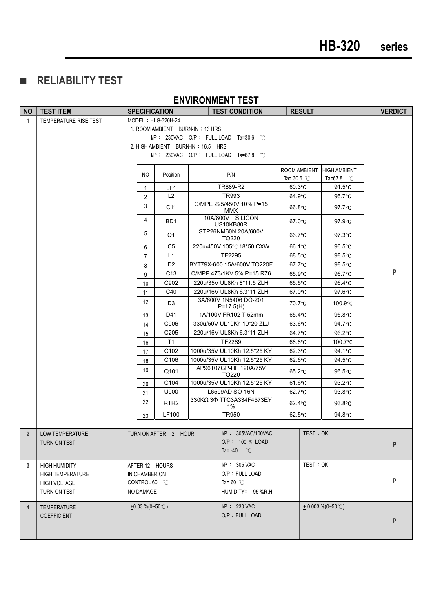-**RELIABILITY TEST** 

#### **ENVIRONMENT TEST**

| <b>NO</b>      | <b>TEST ITEM</b>        | <b>SPECIFICATION</b>  |                                   |  | <b>TEST CONDITION</b>                                | <b>RESULT</b>             |                     | <b>VERDICT</b> |  |
|----------------|-------------------------|-----------------------|-----------------------------------|--|------------------------------------------------------|---------------------------|---------------------|----------------|--|
| $\mathbf{1}$   | TEMPERATURE RISE TEST   | $MODEL : HLG-320H-24$ |                                   |  |                                                      |                           |                     |                |  |
|                |                         |                       | 1. ROOM AMBIENT BURN-IN: 13 HRS   |  |                                                      |                           |                     |                |  |
|                |                         |                       |                                   |  | $I/P$ : 230VAC O/P: FULL LOAD Ta=30.6 °C             |                           |                     |                |  |
|                |                         |                       | 2. HIGH AMBIENT BURN-IN: 16.5 HRS |  |                                                      |                           |                     |                |  |
|                |                         |                       |                                   |  | $I/P$ : 230VAC O/P: FULL LOAD Ta=67.8 °C             |                           |                     |                |  |
|                |                         |                       |                                   |  |                                                      | ROOM AMBIENT HIGH AMBIENT |                     |                |  |
|                |                         | NO.                   | Position                          |  | P/N                                                  | Ta= 30.6 $\degree$ C      | Ta=67.8 $\degree$ C |                |  |
|                |                         | $\mathbf{1}$          | LF1                               |  | TR889-R2                                             | $60.3^{\circ}$ C          | $91.5^{\circ}$ C    |                |  |
|                |                         | $\overline{2}$        | L2                                |  | TR993                                                | 64.9°C                    | $95.7^{\circ}$ C    |                |  |
|                |                         | 3                     | C11                               |  | C/MPE 225/450V 10% P=15<br>MMX                       | $66.8$ °C                 | $97.7^{\circ}$ C    |                |  |
|                |                         | 4                     | BD1                               |  | 10A/800V SILICON<br>US10KB80R                        | 67.0°C                    | $97.9^{\circ}$ C    |                |  |
|                |                         | 5                     | Q1                                |  | STP26NM60N 20A/600V<br>TO220                         | 66.7°C                    | $97.3^{\circ}$ C    |                |  |
|                |                         | 6                     | C <sub>5</sub>                    |  | 220u/450V 105°C 18*50 CXW                            | 66.1°C                    | $96.5^{\circ}$ C    |                |  |
|                |                         | $\overline{7}$        | L1                                |  | <b>TF2295</b>                                        | $68.5^{\circ}$ C          | $98.5^{\circ}$ C    |                |  |
|                |                         | 8                     | D <sub>2</sub>                    |  | BYT79X-600 15A/600V TO220F                           | 67.7°C                    | $98.5^{\circ}$ C    |                |  |
|                |                         | 9                     | C <sub>13</sub>                   |  | C/MPP 473/1KV 5% P=15 R76                            | 65.9°C                    | 96.7°C              | P              |  |
|                |                         | 10                    | C902                              |  | 220u/35V UL8Kh 8*11.5 ZLH                            | $65.5^{\circ}$ C          | 96.4°C              |                |  |
|                |                         | 11                    | C40                               |  | 220u/16V UL8Kh 6.3*11 ZLH                            | 67.0°C                    | $97.6^{\circ}$ C    |                |  |
|                |                         | 12                    | D <sub>3</sub>                    |  | 3A/600V 1N5406 DO-201<br>$P=17.5(H)$                 | 70.7°C                    | $100.9^{\circ}$ C   |                |  |
|                |                         | 13                    | D41                               |  | 1A/100V FR102 T-52mm                                 | 65.4°C                    | $95.8^{\circ}$ C    |                |  |
|                |                         | 14                    | C906                              |  | 330u/50V UL10Kh 10*20 ZLJ                            | $63.6^{\circ}$ C          | 94.7°C              |                |  |
|                |                         | 15                    | C205                              |  | 220u/16V UL8Kh 6.3*11 ZLH                            | 64.7°C                    | $96.2^{\circ}$ C    |                |  |
|                |                         | 16                    | T1                                |  | TF2289                                               | $68.8^{\circ}$ C          | $100.7^{\circ}$ C   |                |  |
|                |                         | 17                    | C <sub>102</sub>                  |  | 1000u/35V UL10Kh 12.5*25 KY                          | $62.3^{\circ}$ C          | 94.1 $\degree$ C    |                |  |
|                |                         | 18                    | C <sub>106</sub>                  |  | 1000u/35V UL10Kh 12.5*25 KY<br>AP96T07GP-HF 120A/75V | $62.6^{\circ}$ C          | 94.5°C              |                |  |
|                |                         | 19                    | Q101                              |  | TO220                                                | $65.2^{\circ}$ C          | $96.5^{\circ}$ C    |                |  |
|                |                         | 20                    | C104                              |  | 1000u/35V UL10Kh 12.5*25 KY                          | $61.6^{\circ}$ C          | $93.2^{\circ}$ C    |                |  |
|                |                         | 21                    | U900                              |  | L6599AD SO-16N                                       | 62.7°C                    | $93.8^{\circ}$ C    |                |  |
|                |                         | 22                    | RTH <sub>2</sub>                  |  | 330KΩ 3Φ TTC3A334F4573EY<br>1%                       | 62.4°C                    | $93.8^{\circ}$ C    |                |  |
|                |                         | 23                    | LF100                             |  | TR950                                                | $62.5^{\circ}$ C          | 94.8°C              |                |  |
|                |                         |                       |                                   |  |                                                      |                           |                     |                |  |
| $\overline{2}$ | LOW TEMPERATURE         |                       | TURN ON AFTER 2 HOUR              |  | $I/P$ : 305VAC/100VAC                                | TEST:OK                   |                     |                |  |
|                | TURN ON TEST            |                       |                                   |  | O/P: 100 % LOAD                                      |                           |                     | P              |  |
|                |                         |                       |                                   |  | Ta= $-40$ °C                                         |                           |                     |                |  |
| 3              | <b>HIGH HUMIDITY</b>    | AFTER 12 HOURS        |                                   |  | I/P: 305 VAC                                         | TEST: OK                  |                     |                |  |
|                | <b>HIGH TEMPERATURE</b> | IN CHAMBER ON         |                                   |  | O/P: FULL LOAD                                       |                           |                     |                |  |
|                | <b>HIGH VOLTAGE</b>     | CONTROL 60 °C         |                                   |  | Ta=60 $^{\circ}$ C                                   |                           |                     | P              |  |
|                | TURN ON TEST            | NO DAMAGE             |                                   |  | HUMIDITY= 95 %R.H                                    |                           |                     |                |  |
| 4              | <b>TEMPERATURE</b>      | $\pm 0.03\%$ (0~50°C) |                                   |  | I/P: 230 VAC                                         |                           | $+0.003\%$ (0~50°C) |                |  |
|                | <b>COEFFICIENT</b>      |                       |                                   |  | O/P: FULL LOAD                                       |                           |                     |                |  |
|                |                         |                       |                                   |  |                                                      |                           |                     | P              |  |
|                |                         |                       |                                   |  |                                                      |                           |                     |                |  |